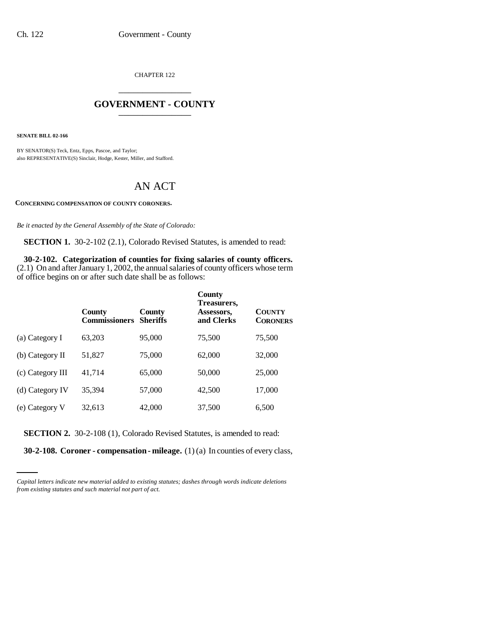CHAPTER 122 \_\_\_\_\_\_\_\_\_\_\_\_\_\_\_

## **GOVERNMENT - COUNTY** \_\_\_\_\_\_\_\_\_\_\_\_\_\_\_

**SENATE BILL 02-166**

BY SENATOR(S) Teck, Entz, Epps, Pascoe, and Taylor; also REPRESENTATIVE(S) Sinclair, Hodge, Kester, Miller, and Stafford.

## AN ACT

**CONCERNING COMPENSATION OF COUNTY CORONERS.**

*Be it enacted by the General Assembly of the State of Colorado:*

**SECTION 1.** 30-2-102 (2.1), Colorado Revised Statutes, is amended to read:

**30-2-102. Categorization of counties for fixing salaries of county officers.** (2.1) On and after January 1, 2002, the annual salaries of county officers whose term of office begins on or after such date shall be as follows:

|                   | County<br><b>Commissioners</b> | County<br><b>Sheriffs</b> | County<br>Treasurers,<br>Assessors,<br>and Clerks | <b>COUNTY</b><br><b>CORONERS</b> |
|-------------------|--------------------------------|---------------------------|---------------------------------------------------|----------------------------------|
| (a) Category I    | 63,203                         | 95,000                    | 75,500                                            | 75,500                           |
| $(b)$ Category II | 51,827                         | 75,000                    | 62,000                                            | 32,000                           |
| (c) Category III  | 41,714                         | 65,000                    | 50,000                                            | 25,000                           |
| (d) Category IV   | 35,394                         | 57,000                    | 42,500                                            | 17,000                           |
| (e) Category V    | 32,613                         | 42,000                    | 37,500                                            | 6,500                            |

**SECTION 2.** 30-2-108 (1), Colorado Revised Statutes, is amended to read:

**30-2-108. Coroner - compensation - mileage.** (1) (a) In counties of every class,

*Capital letters indicate new material added to existing statutes; dashes through words indicate deletions from existing statutes and such material not part of act.*